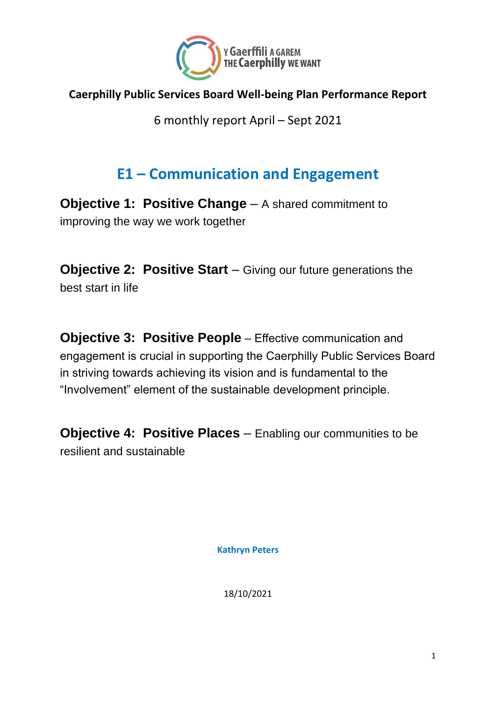

#### **Caerphilly Public Services Board Well-being Plan Performance Report**

6 monthly report April – Sept 2021

#### **E1 – Communication and Engagement**

**Objective 1: Positive Change** – A shared commitment to improving the way we work together

**Objective 2: Positive Start** – Giving our future generations the best start in life

**Objective 3: Positive People** – Effective communication and engagement is crucial in supporting the Caerphilly Public Services Board in striving towards achieving its vision and is fundamental to the "Involvement" element of the sustainable development principle.

**Objective 4: Positive Places** – Enabling our communities to be resilient and sustainable

**Kathryn Peters**

18/10/2021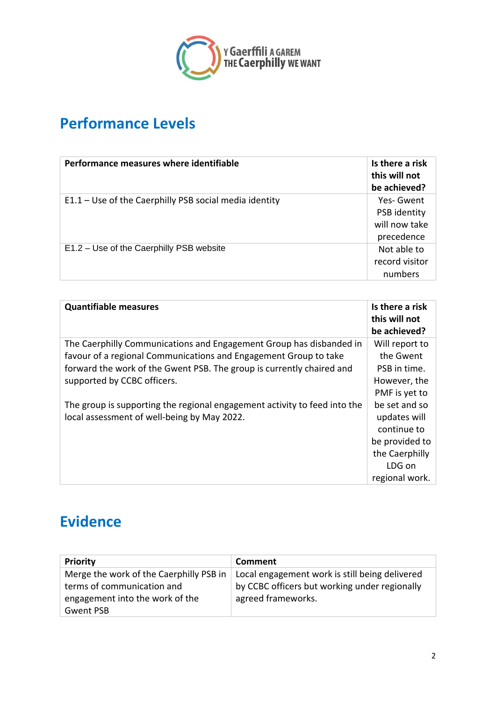

## **Performance Levels**

| Performance measures where identifiable                  | Is there a risk<br>this will not<br>be achieved?         |
|----------------------------------------------------------|----------------------------------------------------------|
| $E1.1 - Use$ of the Caerphilly PSB social media identity | Yes-Gwent<br>PSB identity<br>will now take<br>precedence |
| E1.2 – Use of the Caerphilly PSB website                 | Not able to<br>record visitor<br>numbers                 |

| <b>Quantifiable measures</b>                                              | Is there a risk<br>this will not<br>be achieved? |
|---------------------------------------------------------------------------|--------------------------------------------------|
| The Caerphilly Communications and Engagement Group has disbanded in       | Will report to                                   |
| favour of a regional Communications and Engagement Group to take          | the Gwent                                        |
| forward the work of the Gwent PSB. The group is currently chaired and     | PSB in time.                                     |
| supported by CCBC officers.                                               | However, the                                     |
|                                                                           | PMF is yet to                                    |
| The group is supporting the regional engagement activity to feed into the | be set and so                                    |
| local assessment of well-being by May 2022.                               | updates will                                     |
|                                                                           | continue to                                      |
|                                                                           | be provided to                                   |
|                                                                           | the Caerphilly                                   |
|                                                                           | LDG on                                           |
|                                                                           | regional work.                                   |

### **Evidence**

| <b>Priority</b>                         | Comment                                        |
|-----------------------------------------|------------------------------------------------|
| Merge the work of the Caerphilly PSB in | Local engagement work is still being delivered |
| terms of communication and              | by CCBC officers but working under regionally  |
| engagement into the work of the         | agreed frameworks.                             |
| Gwent PSB                               |                                                |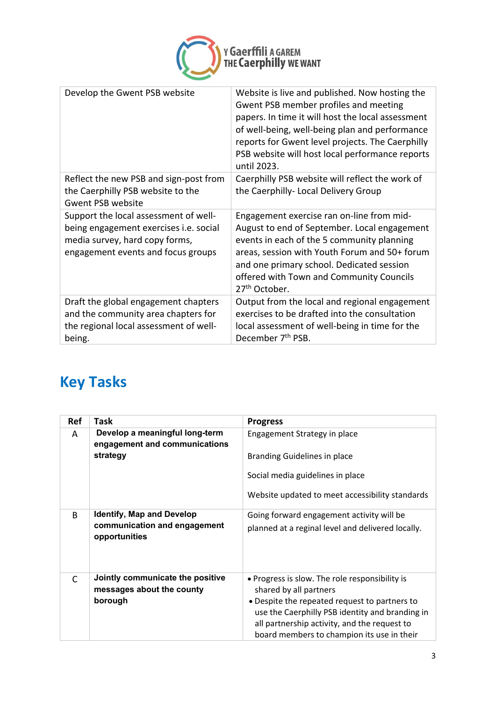

| Website is live and published. Now hosting the<br>Gwent PSB member profiles and meeting<br>papers. In time it will host the local assessment<br>of well-being, well-being plan and performance<br>reports for Gwent level projects. The Caerphilly<br>PSB website will host local performance reports<br>until 2023. |
|----------------------------------------------------------------------------------------------------------------------------------------------------------------------------------------------------------------------------------------------------------------------------------------------------------------------|
| Caerphilly PSB website will reflect the work of<br>the Caerphilly- Local Delivery Group                                                                                                                                                                                                                              |
| Engagement exercise ran on-line from mid-<br>August to end of September. Local engagement<br>events in each of the 5 community planning<br>areas, session with Youth Forum and 50+ forum<br>and one primary school. Dedicated session<br>offered with Town and Community Councils<br>27 <sup>th</sup> October.       |
| Output from the local and regional engagement<br>exercises to be drafted into the consultation<br>local assessment of well-being in time for the<br>December 7 <sup>th</sup> PSB.                                                                                                                                    |
|                                                                                                                                                                                                                                                                                                                      |

# **Key Tasks**

| <b>Ref</b>   | Task                                                            | <b>Progress</b>                                                          |
|--------------|-----------------------------------------------------------------|--------------------------------------------------------------------------|
| A            | Develop a meaningful long-term<br>engagement and communications | Engagement Strategy in place                                             |
|              | strategy                                                        | <b>Branding Guidelines in place</b>                                      |
|              |                                                                 | Social media guidelines in place                                         |
|              |                                                                 | Website updated to meet accessibility standards                          |
| <sub>R</sub> | <b>Identify, Map and Develop</b>                                | Going forward engagement activity will be                                |
|              | communication and engagement<br>opportunities                   | planned at a reginal level and delivered locally.                        |
| $\mathsf{C}$ | Jointly communicate the positive<br>messages about the county   | • Progress is slow. The role responsibility is<br>shared by all partners |
|              | borough                                                         | • Despite the repeated request to partners to                            |
|              |                                                                 | use the Caerphilly PSB identity and branding in                          |
|              |                                                                 | all partnership activity, and the request to                             |
|              |                                                                 | board members to champion its use in their                               |